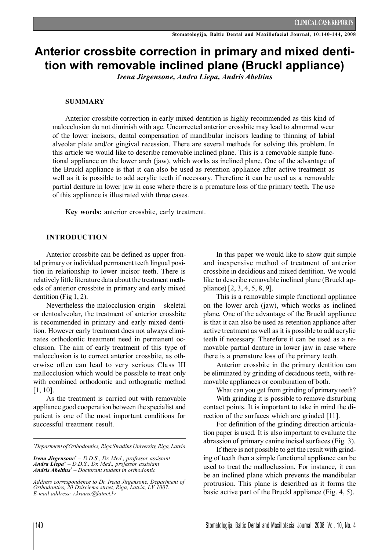# **Anterior crossbite correction in primary and mixed dentition with removable inclined plane (Bruckl appliance)**

*Irena Jirgensone, Andra Liepa, Andris Abeltins*

#### **SUMMARY**

Anterior crossbite correction in early mixed dentition is highly recommended as this kind of malocclusion do not diminish with age. Uncorrected anterior crossbite may lead to abnormal wear of the lower incisors, dental compensation of mandibular incisors leading to thinning of labial alveolar plate and/or gingival recession. There are several methods for solving this problem. In this article we would like to describe removable inclined plane. This is a removable simple functional appliance on the lower arch (jaw), which works as inclined plane. One of the advantage of the Bruckl appliance is that it can also be used as retention appliance after active treatment as well as it is possible to add acrylic teeth if necessary. Therefore it can be used as a removable partial denture in lower jaw in case where there is a premature loss of the primary teeth. The use of this appliance is illustrated with three cases.

**Key words:** anterior crossbite, early treatment.

#### **INTRODUCTION**

Anterior crossbite can be defined as upper frontal primary or individual permanent teeth lingual position in relationship to lower incisor teeth. There is relatively little literature data about the treatment methods of anterior crossbite in primary and early mixed dentition (Fig 1, 2).

Nevertheless the malocclusion origin – skeletal or dentoalveolar, the treatment of anterior crossbite is recommended in primary and early mixed dentition. However early treatment does not always eliminates orthodontic treatment need in permanent occlusion. The aim of early treatment of this type of malocclusion is to correct anterior crossbite, as otherwise often can lead to very serious Class III mallocclusion which would be possible to treat only with combined orthodontic and orthognatic method [1, 10].

As the treatment is carried out with removable appliance good cooperation between the specialist and patient is one of the most important conditions for successful treatment result.

In this paper we would like to show quit simple and inexpensive method of treatment of anterior crossbite in decidious and mixed dentition. We would like to describe removable inclined plane (Bruckl appliance) [2, 3, 4, 5, 8, 9].

This is a removable simple functional appliance on the lower arch (jaw), which works as inclined plane. One of the advantage of the Bruckl appliance is that it can also be used as retention appliance after active treatment as well as it is possible to add acrylic teeth if necessary. Therefore it can be used as a removable partial denture in lower jaw in case where there is a premature loss of the primary teeth.

Anterior crossbite in the primary dentition can be eliminated by grinding of deciduous teeth, with removable appliances or combination of both.

What can you get from grinding of primary teeth?

With grinding it is possible to remove disturbing contact points. It is important to take in mind the direction of the surfaces which are grinded [11].

For definition of the grinding direction articulation paper is used. It is also important to evaluate the abrassion of primary canine incisal surfaces (Fig. 3).

If there is not possible to get the result with grinding of teeth then a simple functional appliance can be used to treat the malloclussion. For instance, it can be an inclined plane which prevents the mandibular protrusion. This plane is described as it forms the basic active part of the Bruckl appliance (Fig. 4, 5).

*<sup>\*</sup>Department ofOrthodontics, Riga Stradins University,Riga, Latvia*

*Irena Jirgensone\* – D.D.S., Dr. Med., professor assistant Andra Liepa\* – D.D.S., Dr. Med., professor assistant Andris Abeltins\* – Doctorant student in orthodontic*

*Address correspondence to Dr. Irena Jirgensone, Department of Orthodontics, 20 Dzirciema street, Riga, Latvia, LV 1007. E-mail address: i.krauze@latnet.lv*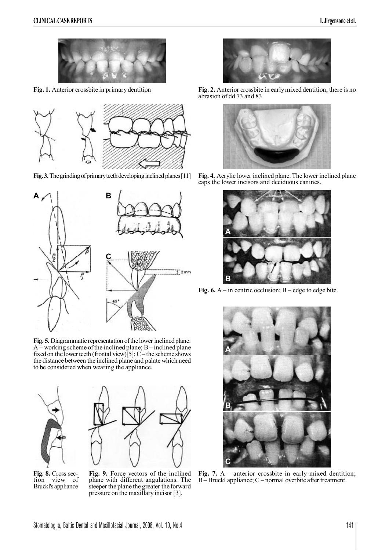

**Fig. 1.** Anterior crossbite in primarydentition



**Fig. 3.** The grinding of primary teeth developing inclined planes [11]



Fig. 5. Diagrammatic representation of the lower inclined plane: A – working scheme of the inclined plane; B– inclined plane fixed on the lower teeth (frontal view)[5];  $C$  – the scheme shows the distance between the inclined plane and palate which need to be considered when wearing the appliance.



**Fig. 8.** Cross section view of Bruckl's appliance

**Fig. 9.** Force vectors of the inclined plane with different angulations. The steeper the plane the greater the forward

pressure on the maxillaryincisor [3].



**Fig. 2.** Anterior crossbite in earlymixed dentition, there is no abrasion of dd 73 and 83



**Fig. 4.** Acrylic lower inclined plane. The lower inclined plane caps the lower incisors and deciduous canines.



**Fig. 6.**  $A$  – in centric occlusion;  $B$  – edge to edge bite.



**Fig. 7.** A – anterior crossbite in early mixed dentition; B– Bruckl appliance; C – normal overbite after treatment.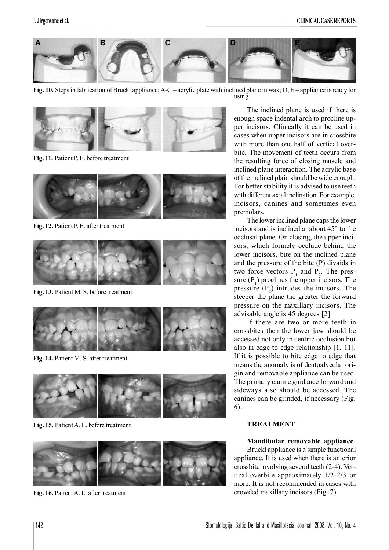

**Fig. 10.** Steps in fabrication of Bruckl appliance: A-C – acrylic plate with inclined plane in wax; D, E – appliance is ready for using.



**Fig. 11.** Patient P. E. before treatment



**Fig. 12.** Patient P. E. after treatment



**Fig. 13.** Patient M. S. before treatment



**Fig. 14.** Patient M. S. after treatment



**Fig. 15.** PatientA. L. before treatment



**Fig. 16.** PatientA. L. after treatment

The inclined plane is used if there is enough space indental arch to procline upper incisors. Clinically it can be used in cases when upper incisors are in crossbite with more than one half of vertical overbite. The movement of teeth occurs from the resulting force of closing muscle and inclined plane interaction. The acrylic base of the inclined plain should be wide enough. For better stability it is advised to use teeth with different axial inclination. For example, incisors, canines and sometimes even premolars.

The lower inclined plane caps the lower incisors and is inclined at about 45° to the occlusal plane. On closing, the upper incisors, which formely occlude behind the lower incisors, bite on the inclined plane and the pressure of the bite (P) divaids in two force vectors  $P_1$  and  $P_2$ . The pressure  $(P_1)$  proclines the upper incisors. The pressure  $(P_2)$  intrudes the incisors. The steeper the plane the greater the forward pressure on the maxillary incisors. The advisable angle is 45 degrees [2].

If there are two or more teeth in crossbites then the lower jaw should be accessed not only in centric occlusion but also in edge to edge relationship [1, 11]. If it is possible to bite edge to edge that means the anomaly is of dentoalveolar origin and removable appliance can be used. The primary canine guidance forward and sideways also should be accessed. The canines can be grinded, if necessary (Fig. 6).

# **TREATMENT**

#### **Mandibular removable appliance**

Bruckl appliance is a simple functional appliance. It is used when there is anterior crossbite involving several teeth (2-4). Vertical overbite approximately 1/2-2/3 or more. It is not recommended in cases with crowded maxillary incisors (Fig. 7).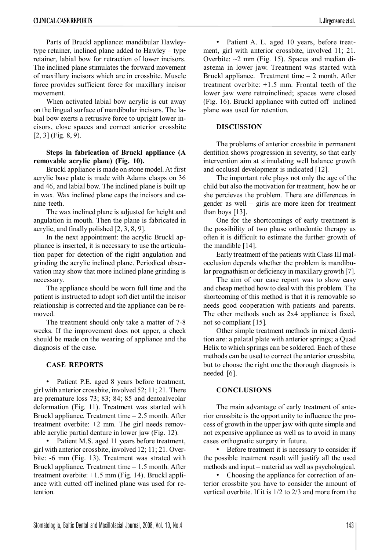Parts of Bruckl appliance: mandibular Hawleytype retainer, inclined plane added to Hawley – type retainer, labial bow for retraction of lower incisors. The inclined plane stimulates the forward movement of maxillary incisors which are in crossbite. Muscle force provides sufficient force for maxillary incisor movement.

When activated labial bow acrylic is cut away on the lingual surface of mandibular incisors. The labial bow exerts a retrusive force to upright lower incisors, close spaces and correct anterior crossbite [2, 3] (Fig. 8, 9).

#### **Steps in fabrication of Bruckl appliance (A removable acrylic plane) (Fig. 10).**

Bruckl appliance is made on stone model. At first acrylic base plate is made with Adams clasps on 36 and 46, and labial bow. The inclined plane is built up in wax. Wax inclined plane caps the incisors and canine teeth.

The wax inclined plane is adjusted for height and angulation in mouth. Then the plane is fabricated in acrylic, and finally polished [2, 3, 8, 9].

In the next appointment: the acrylic Bruckl appliance is inserted, it is necessary to use the articulation paper for detection of the right angulation and grinding the acrylic inclined plane. Periodical observation may show that more inclined plane grinding is necessary.

The appliance should be worn full time and the patient is instructed to adopt soft diet until the incisor relationship is corrected and the appliance can be removed.

The treatment should only take a matter of 7-8 weeks. If the improvement does not apper, a check should be made on the wearing of appliance and the diagnosis of the case.

# **CASE REPORTS**

• Patient P.E. aged 8 years before treatment, girl with anterior crossbite, involved 52; 11; 21. There are premature loss 73; 83; 84; 85 and dentoalveolar deformation (Fig. 11). Treatment was started with Bruckl appliance. Treatment time – 2.5 month. After treatment overbite: +2 mm. The girl needs removable acrylic partial denture in lower jaw (Fig. 12).

• Patient M.S. aged 11 years before treatment, girl with anterior crossbite, involved 12; 11; 21. Overbite: -6 mm (Fig. 13). Treatment was strated with Bruckl appliance. Treatment time – 1.5 month. After treatment overbite: +1.5 mm (Fig. 14). Bruckl appliance with cutted off inclined plane was used for retention.

• Patient A. L. aged 10 years, before treatment, girl with anterior crossbite, involved 11; 21. Overbite:  $\sim$ 2 mm (Fig. 15). Spaces and median diastema in lower jaw. Treatment was started with Bruckl appliance. Treatment time – 2 month. After treatment overbite: +1.5 mm. Frontal teeth of the lower jaw were retroinclined; spaces were closed (Fig. 16). Bruckl appliance with cutted off inclined plane was used for retention.

# **DISCUSSION**

The problems of anterior crossbite in permanent dentition shows progression in severity, so that early intervention aim at stimulating well balance growth and occlusal development is indicated [12]*.*

The important role plays not only the age of the child but also the motivation for treatment, how he or she percieves the problem. There are differences in gender as well – girls are more keen for treatment than boys [13].

One for the shortcomings of early treatment is the possibility of two phase orthodontic therapy as often it is difficult to estimate the further growth of the mandible [14].

Early treatment of the patients with Class III malocclusion depends whether the problem is mandibular prognathism or deficiency in maxillary growth [7].

The aim of our case report was to show easy and cheap method how to deal with this problem. The shortcoming of this method is that it is removable so needs good cooperation with patients and parents. The other methods such as 2x4 appliance is fixed, not so compliant [15]*.*

Other simple treatment methods in mixed dentition are: a palatal plate with anterior springs; a Quad Helix to which springs can be soldered. Each of these methods can be used to correct the anterior crossbite, but to choose the right one the thorough diagnosis is needed [6].

# **CONCLUSIONS**

The main advantage of early treatment of anterior crossbite is the opportunity to influence the process of growth in the upper jaw with quite simple and not expensive appliance as well as to avoid in many cases orthognatic surgery in future.

• Before treatment it is necessary to consider if the possible treatment result will justify all the used methods and input – material as well as psychological.

Choosing the appliance for correction of anterior crossbite you have to consider the amount of vertical overbite. If it is 1/2 to 2/3 and more from the